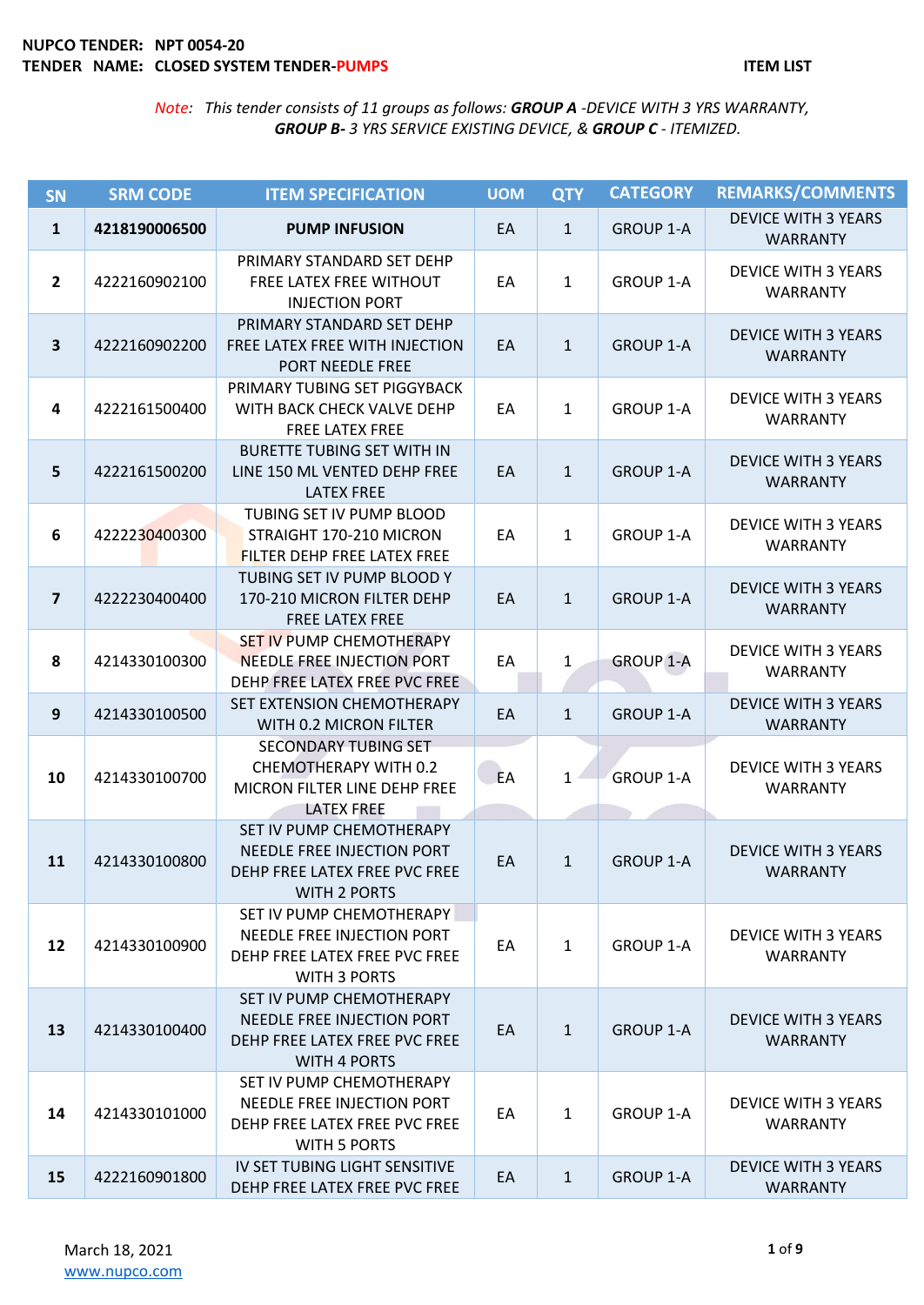| SN                      | <b>SRM CODE</b> | <b>ITEM SPECIFICATION</b>                                                                                      | <b>UOM</b> | <b>QTY</b>   | <b>CATEGORY</b>  | <b>REMARKS/COMMENTS</b>                       |
|-------------------------|-----------------|----------------------------------------------------------------------------------------------------------------|------------|--------------|------------------|-----------------------------------------------|
| $\mathbf{1}$            | 4218190006500   | <b>PUMP INFUSION</b>                                                                                           | EA         | $\mathbf{1}$ | <b>GROUP 1-A</b> | <b>DEVICE WITH 3 YEARS</b><br><b>WARRANTY</b> |
| $\overline{2}$          | 4222160902100   | PRIMARY STANDARD SET DEHP<br>FREE LATEX FREE WITHOUT<br><b>INJECTION PORT</b>                                  | EA         | $\mathbf{1}$ | <b>GROUP 1-A</b> | <b>DEVICE WITH 3 YEARS</b><br><b>WARRANTY</b> |
| $\overline{\mathbf{3}}$ | 4222160902200   | PRIMARY STANDARD SET DEHP<br>FREE LATEX FREE WITH INJECTION<br>PORT NEEDLE FREE                                | EA         | $\mathbf{1}$ | <b>GROUP 1-A</b> | <b>DEVICE WITH 3 YEARS</b><br><b>WARRANTY</b> |
| $\overline{\mathbf{4}}$ | 4222161500400   | PRIMARY TUBING SET PIGGYBACK<br>WITH BACK CHECK VALVE DEHP<br>FREE LATEX FREE                                  | EA         | $\mathbf{1}$ | <b>GROUP 1-A</b> | <b>DEVICE WITH 3 YEARS</b><br><b>WARRANTY</b> |
| 5                       | 4222161500200   | <b>BURETTE TUBING SET WITH IN</b><br>LINE 150 ML VENTED DEHP FREE<br><b>LATEX FREE</b>                         | EA         | $\mathbf{1}$ | <b>GROUP 1-A</b> | <b>DEVICE WITH 3 YEARS</b><br><b>WARRANTY</b> |
| 6                       | 4222230400300   | TUBING SET IV PUMP BLOOD<br>STRAIGHT 170-210 MICRON<br>FILTER DEHP FREE LATEX FREE                             | EA         | $\mathbf{1}$ | <b>GROUP 1-A</b> | <b>DEVICE WITH 3 YEARS</b><br><b>WARRANTY</b> |
| $\overline{\mathbf{z}}$ | 4222230400400   | TUBING SET IV PUMP BLOOD Y<br>170-210 MICRON FILTER DEHP<br><b>FREE LATEX FREE</b>                             | EA         | $\mathbf{1}$ | <b>GROUP 1-A</b> | <b>DEVICE WITH 3 YEARS</b><br><b>WARRANTY</b> |
| 8                       | 4214330100300   | <b>SET IV PUMP CHEMOTHERAPY</b><br><b>NEEDLE FREE INJECTION PORT</b><br>DEHP FREE LATEX FREE PVC FREE          | EA         | $\mathbf{1}$ | <b>GROUP 1-A</b> | <b>DEVICE WITH 3 YEARS</b><br><b>WARRANTY</b> |
| $\boldsymbol{9}$        | 4214330100500   | SET EXTENSION CHEMOTHERAPY<br>WITH 0.2 MICRON FILTER                                                           | EA         | $\mathbf{1}$ | <b>GROUP 1-A</b> | <b>DEVICE WITH 3 YEARS</b><br><b>WARRANTY</b> |
| 10                      | 4214330100700   | <b>SECONDARY TUBING SET</b><br>CHEMOTHERAPY WITH 0.2<br>MICRON FILTER LINE DEHP FREE<br><b>LATEX FREE</b>      | EA         | $\mathbf{1}$ | <b>GROUP 1-A</b> | <b>DEVICE WITH 3 YEARS</b><br><b>WARRANTY</b> |
| 11                      | 4214330100800   | SET IV PUMP CHEMOTHERAPY<br>NEEDLE FREE INJECTION PORT<br>DEHP FREE LATEX FREE PVC FREE<br><b>WITH 2 PORTS</b> | EA         | $\mathbf{1}$ | <b>GROUP 1-A</b> | <b>DEVICE WITH 3 YEARS</b><br><b>WARRANTY</b> |
| 12                      | 4214330100900   | SET IV PUMP CHEMOTHERAPY<br>NEEDLE FREE INJECTION PORT<br>DEHP FREE LATEX FREE PVC FREE<br><b>WITH 3 PORTS</b> | EA         | $\mathbf{1}$ | <b>GROUP 1-A</b> | <b>DEVICE WITH 3 YEARS</b><br><b>WARRANTY</b> |
| 13                      | 4214330100400   | SET IV PUMP CHEMOTHERAPY<br>NEEDLE FREE INJECTION PORT<br>DEHP FREE LATEX FREE PVC FREE<br><b>WITH 4 PORTS</b> | EA         | $\mathbf{1}$ | <b>GROUP 1-A</b> | <b>DEVICE WITH 3 YEARS</b><br><b>WARRANTY</b> |
| 14                      | 4214330101000   | SET IV PUMP CHEMOTHERAPY<br>NEEDLE FREE INJECTION PORT<br>DEHP FREE LATEX FREE PVC FREE<br><b>WITH 5 PORTS</b> | EA         | $\mathbf{1}$ | <b>GROUP 1-A</b> | <b>DEVICE WITH 3 YEARS</b><br><b>WARRANTY</b> |
| 15                      | 4222160901800   | IV SET TUBING LIGHT SENSITIVE<br>DEHP FREE LATEX FREE PVC FREE                                                 | EA         | $\mathbf{1}$ | <b>GROUP 1-A</b> | <b>DEVICE WITH 3 YEARS</b><br><b>WARRANTY</b> |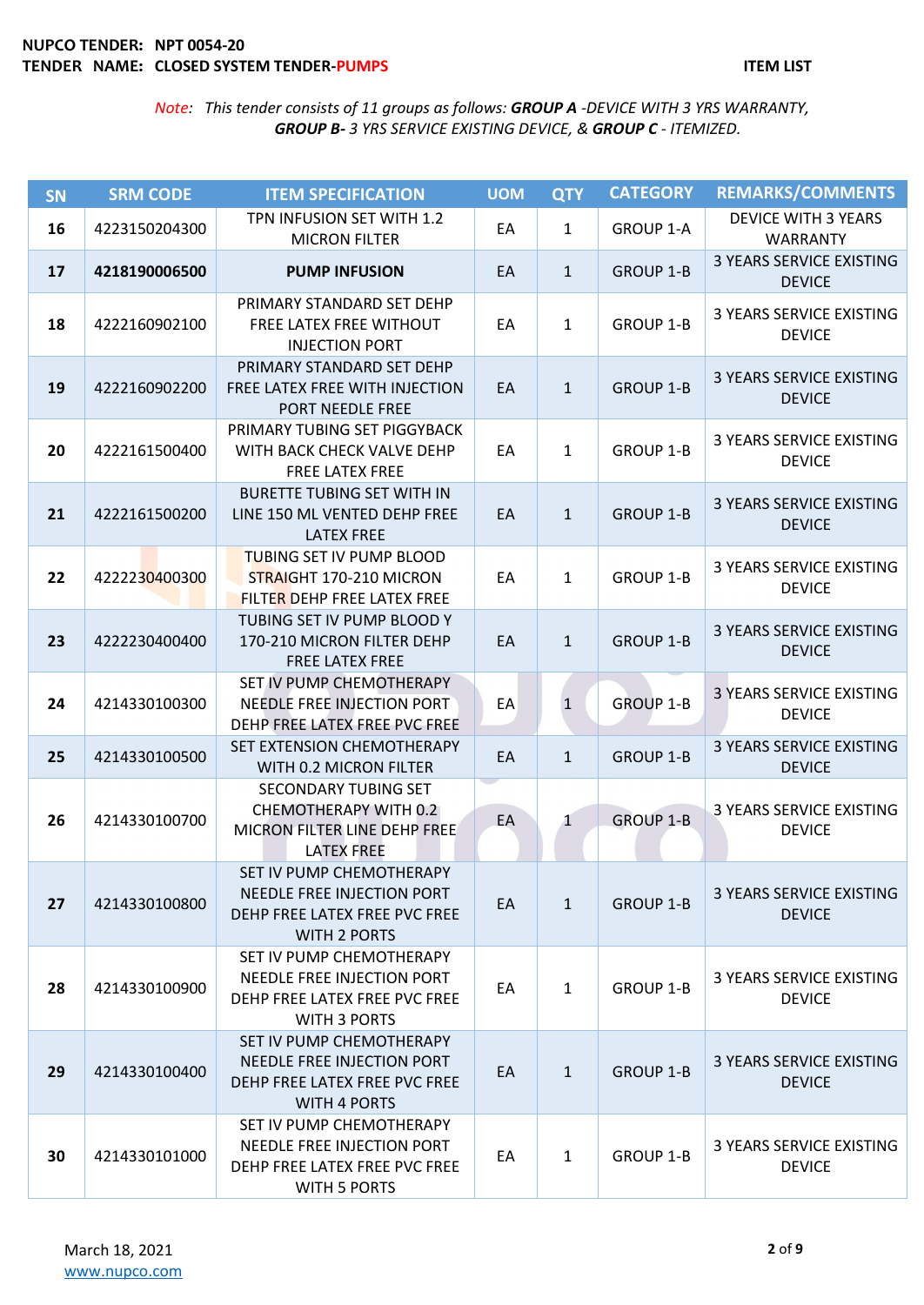| SN | <b>SRM CODE</b> | <b>ITEM SPECIFICATION</b>                                                                                        | <b>UOM</b> | <b>QTY</b>   | <b>CATEGORY</b>  | <b>REMARKS/COMMENTS</b>                          |
|----|-----------------|------------------------------------------------------------------------------------------------------------------|------------|--------------|------------------|--------------------------------------------------|
| 16 | 4223150204300   | TPN INFUSION SET WITH 1.2<br><b>MICRON FILTER</b>                                                                | EA         | 1            | <b>GROUP 1-A</b> | <b>DEVICE WITH 3 YEARS</b><br><b>WARRANTY</b>    |
| 17 | 4218190006500   | <b>PUMP INFUSION</b>                                                                                             | EA         | $\mathbf{1}$ | <b>GROUP 1-B</b> | <b>3 YEARS SERVICE EXISTING</b><br><b>DEVICE</b> |
| 18 | 4222160902100   | PRIMARY STANDARD SET DEHP<br>FREE LATEX FREE WITHOUT<br><b>INJECTION PORT</b>                                    | EA         | 1            | <b>GROUP 1-B</b> | <b>3 YEARS SERVICE EXISTING</b><br><b>DEVICE</b> |
| 19 | 4222160902200   | PRIMARY STANDARD SET DEHP<br>FREE LATEX FREE WITH INJECTION<br>PORT NEEDLE FREE                                  | EA         | $\mathbf{1}$ | <b>GROUP 1-B</b> | 3 YEARS SERVICE EXISTING<br><b>DEVICE</b>        |
| 20 | 4222161500400   | PRIMARY TUBING SET PIGGYBACK<br>WITH BACK CHECK VALVE DEHP<br><b>FREE LATEX FREE</b>                             | EA         | 1            | GROUP 1-B        | <b>3 YEARS SERVICE EXISTING</b><br><b>DEVICE</b> |
| 21 | 4222161500200   | <b>BURETTE TUBING SET WITH IN</b><br>LINE 150 ML VENTED DEHP FREE<br><b>LATEX FREE</b>                           | EA         | $\mathbf{1}$ | <b>GROUP 1-B</b> | <b>3 YEARS SERVICE EXISTING</b><br><b>DEVICE</b> |
| 22 | 4222230400300   | <b>TUBING SET IV PUMP BLOOD</b><br>STRAIGHT 170-210 MICRON<br>FILTER DEHP FREE LATEX FREE                        | EA         | 1            | <b>GROUP 1-B</b> | 3 YEARS SERVICE EXISTING<br><b>DEVICE</b>        |
| 23 | 4222230400400   | TUBING SET IV PUMP BLOOD Y<br>170-210 MICRON FILTER DEHP<br><b>FREE LATEX FREE</b>                               | EA         | $\mathbf{1}$ | <b>GROUP 1-B</b> | <b>3 YEARS SERVICE EXISTING</b><br><b>DEVICE</b> |
| 24 | 4214330100300   | SET IV PUMP CHEMOTHERAPY<br>NEEDLE FREE INJECTION PORT<br>DEHP FREE LATEX FREE PVC FREE                          | EA         | $\mathbf{1}$ | <b>GROUP 1-B</b> | <b>3 YEARS SERVICE EXISTING</b><br><b>DEVICE</b> |
| 25 | 4214330100500   | SET EXTENSION CHEMOTHERAPY<br>WITH 0.2 MICRON FILTER                                                             | EA         | $\mathbf{1}$ | <b>GROUP 1-B</b> | <b>3 YEARS SERVICE EXISTING</b><br><b>DEVICE</b> |
| 26 | 4214330100700   | <b>SECONDARY TUBING SET</b><br><b>CHEMOTHERAPY WITH 0.2</b><br>MICRON FILTER LINE DEHP FREE<br><b>LATEX FREE</b> | EA         | $\mathbf{1}$ | <b>GROUP 1-B</b> | 3 YEARS SERVICE EXISTING<br><b>DEVICE</b>        |
| 27 | 4214330100800   | SET IV PUMP CHEMOTHERAPY<br>NEEDLE FREE INJECTION PORT<br>DEHP FREE LATEX FREE PVC FREE<br><b>WITH 2 PORTS</b>   | EA         | $\mathbf{1}$ | <b>GROUP 1-B</b> | 3 YEARS SERVICE EXISTING<br><b>DEVICE</b>        |
| 28 | 4214330100900   | SET IV PUMP CHEMOTHERAPY<br>NEEDLE FREE INJECTION PORT<br>DEHP FREE LATEX FREE PVC FREE<br><b>WITH 3 PORTS</b>   | EA         | $\mathbf{1}$ | <b>GROUP 1-B</b> | <b>3 YEARS SERVICE EXISTING</b><br><b>DEVICE</b> |
| 29 | 4214330100400   | SET IV PUMP CHEMOTHERAPY<br>NEEDLE FREE INJECTION PORT<br>DEHP FREE LATEX FREE PVC FREE<br><b>WITH 4 PORTS</b>   | EA         | $\mathbf{1}$ | <b>GROUP 1-B</b> | 3 YEARS SERVICE EXISTING<br><b>DEVICE</b>        |
| 30 | 4214330101000   | SET IV PUMP CHEMOTHERAPY<br>NEEDLE FREE INJECTION PORT<br>DEHP FREE LATEX FREE PVC FREE<br>WITH 5 PORTS          | EA         | $\mathbf{1}$ | GROUP 1-B        | 3 YEARS SERVICE EXISTING<br><b>DEVICE</b>        |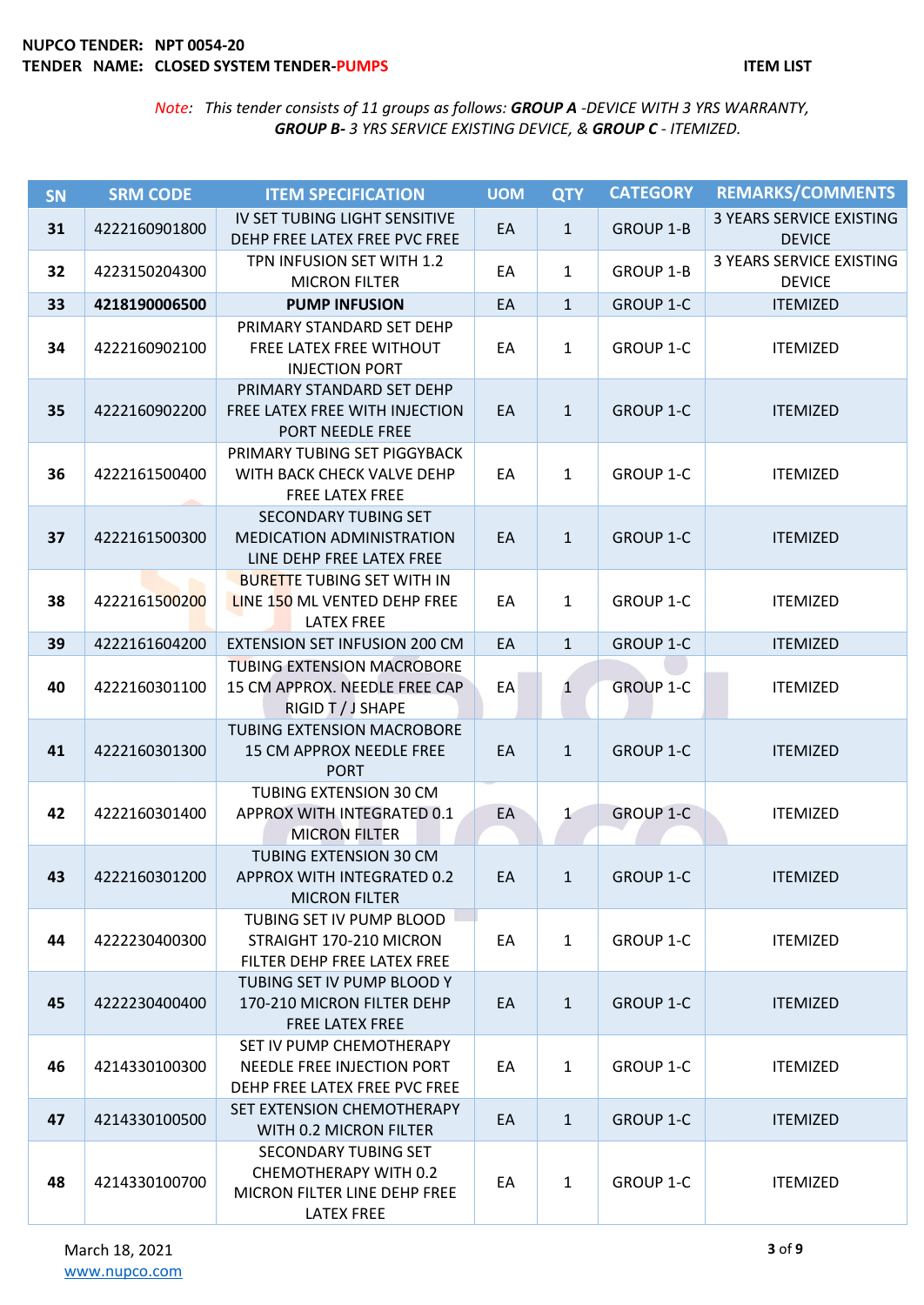| <b>SN</b> | <b>SRM CODE</b> | <b>ITEM SPECIFICATION</b>                                                                          | <b>UOM</b> | <b>QTY</b>   | <b>CATEGORY</b>  | <b>REMARKS/COMMENTS</b>                          |
|-----------|-----------------|----------------------------------------------------------------------------------------------------|------------|--------------|------------------|--------------------------------------------------|
| 31        | 4222160901800   | IV SET TUBING LIGHT SENSITIVE<br>DEHP FREE LATEX FREE PVC FREE                                     | EA         | $\mathbf{1}$ | <b>GROUP 1-B</b> | 3 YEARS SERVICE EXISTING<br><b>DEVICE</b>        |
| 32        | 4223150204300   | TPN INFUSION SET WITH 1.2<br><b>MICRON FILTER</b>                                                  | EA         | $\mathbf{1}$ | <b>GROUP 1-B</b> | <b>3 YEARS SERVICE EXISTING</b><br><b>DEVICE</b> |
| 33        | 4218190006500   | <b>PUMP INFUSION</b>                                                                               | EA         | $\mathbf{1}$ | <b>GROUP 1-C</b> | <b>ITEMIZED</b>                                  |
| 34        | 4222160902100   | PRIMARY STANDARD SET DEHP<br>FREE LATEX FREE WITHOUT<br><b>INJECTION PORT</b>                      | EA         | $\mathbf{1}$ | <b>GROUP 1-C</b> | <b>ITEMIZED</b>                                  |
| 35        | 4222160902200   | PRIMARY STANDARD SET DEHP<br>FREE LATEX FREE WITH INJECTION<br>PORT NEEDLE FREE                    | EA         | $\mathbf{1}$ | <b>GROUP 1-C</b> | <b>ITEMIZED</b>                                  |
| 36        | 4222161500400   | PRIMARY TUBING SET PIGGYBACK<br>WITH BACK CHECK VALVE DEHP<br>FREE LATEX FREE                      | EA         | $\mathbf{1}$ | <b>GROUP 1-C</b> | <b>ITEMIZED</b>                                  |
| 37        | 4222161500300   | SECONDARY TUBING SET<br><b>MEDICATION ADMINISTRATION</b><br>LINE DEHP FREE LATEX FREE              | EA         | $\mathbf{1}$ | <b>GROUP 1-C</b> | <b>ITEMIZED</b>                                  |
| 38        | 4222161500200   | <b>BURETTE TUBING SET WITH IN</b><br>LINE 150 ML VENTED DEHP FREE<br><b>LATEX FREE</b>             | EA         | $\mathbf{1}$ | <b>GROUP 1-C</b> | <b>ITEMIZED</b>                                  |
| 39        | 4222161604200   | <b>EXTENSION SET INFUSION 200 CM</b>                                                               | EA         | $\mathbf{1}$ | <b>GROUP 1-C</b> | <b>ITEMIZED</b>                                  |
| 40        | 4222160301100   | <b>TUBING EXTENSION MACROBORE</b><br>15 CM APPROX. NEEDLE FREE CAP<br>RIGID T / J SHAPE            | EA         | 1            | <b>GROUP 1-C</b> | <b>ITEMIZED</b>                                  |
| 41        | 4222160301300   | TUBING EXTENSION MACROBORE<br>15 CM APPROX NEEDLE FREE<br><b>PORT</b>                              | EA         | $\mathbf{1}$ | <b>GROUP 1-C</b> | <b>ITEMIZED</b>                                  |
| 42        | 4222160301400   | <b>TUBING EXTENSION 30 CM</b><br>APPROX WITH INTEGRATED 0.1<br><b>MICRON FILTER</b>                | EA         | $\mathbf 1$  | <b>GROUP 1-C</b> | <b>ITEMIZED</b>                                  |
| 43        | 4222160301200   | TUBING EXTENSION 30 CM<br>APPROX WITH INTEGRATED 0.2<br><b>MICRON FILTER</b>                       | EA         | 1            | <b>GROUP 1-C</b> | <b>ITEMIZED</b>                                  |
| 44        | 4222230400300   | TUBING SET IV PUMP BLOOD<br>STRAIGHT 170-210 MICRON<br>FILTER DEHP FREE LATEX FREE                 | EA         | $\mathbf{1}$ | <b>GROUP 1-C</b> | <b>ITEMIZED</b>                                  |
| 45        | 4222230400400   | TUBING SET IV PUMP BLOOD Y<br>170-210 MICRON FILTER DEHP<br><b>FREE LATEX FREE</b>                 | EA         | $\mathbf{1}$ | <b>GROUP 1-C</b> | <b>ITEMIZED</b>                                  |
| 46        | 4214330100300   | SET IV PUMP CHEMOTHERAPY<br>NEEDLE FREE INJECTION PORT<br>DEHP FREE LATEX FREE PVC FREE            | EA         | $\mathbf{1}$ | <b>GROUP 1-C</b> | <b>ITEMIZED</b>                                  |
| 47        | 4214330100500   | SET EXTENSION CHEMOTHERAPY<br>WITH 0.2 MICRON FILTER                                               | EA         | $\mathbf{1}$ | <b>GROUP 1-C</b> | <b>ITEMIZED</b>                                  |
| 48        | 4214330100700   | SECONDARY TUBING SET<br>CHEMOTHERAPY WITH 0.2<br>MICRON FILTER LINE DEHP FREE<br><b>LATEX FREE</b> | EA         | $\mathbf{1}$ | GROUP 1-C        | <b>ITEMIZED</b>                                  |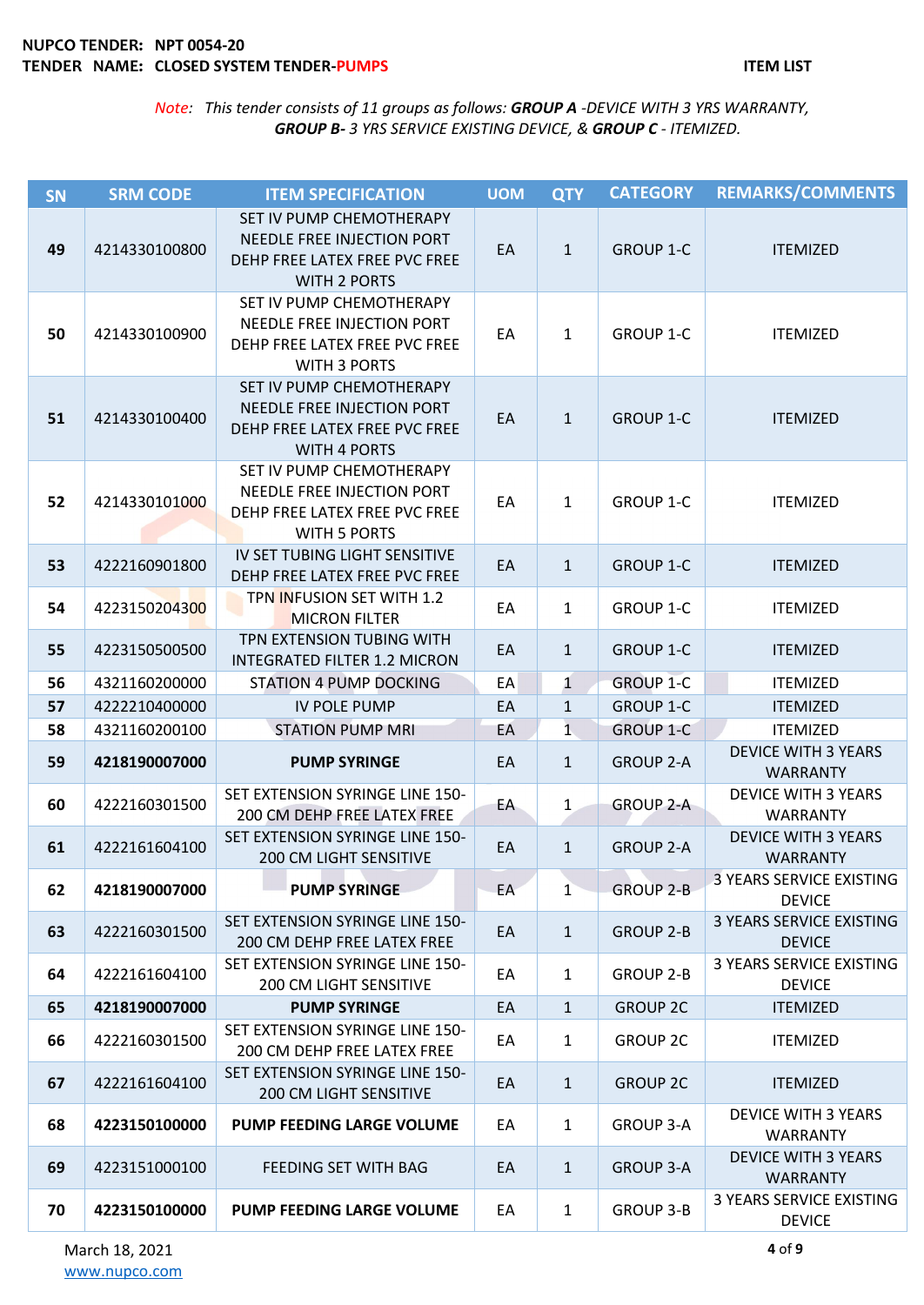| SN | <b>SRM CODE</b> | <b>ITEM SPECIFICATION</b>                                                                                      | <b>UOM</b> | <b>QTY</b>      | <b>CATEGORY</b>  | <b>REMARKS/COMMENTS</b>                          |
|----|-----------------|----------------------------------------------------------------------------------------------------------------|------------|-----------------|------------------|--------------------------------------------------|
| 49 | 4214330100800   | SET IV PUMP CHEMOTHERAPY<br>NEEDLE FREE INJECTION PORT<br>DEHP FREE LATEX FREE PVC FREE<br><b>WITH 2 PORTS</b> | EA         | $\mathbf{1}$    | <b>GROUP 1-C</b> | <b>ITEMIZED</b>                                  |
| 50 | 4214330100900   | SET IV PUMP CHEMOTHERAPY<br>NEEDLE FREE INJECTION PORT<br>DEHP FREE LATEX FREE PVC FREE<br><b>WITH 3 PORTS</b> | EA         | 1               | <b>GROUP 1-C</b> | <b>ITEMIZED</b>                                  |
| 51 | 4214330100400   | SET IV PUMP CHEMOTHERAPY<br>NEEDLE FREE INJECTION PORT<br>DEHP FREE LATEX FREE PVC FREE<br><b>WITH 4 PORTS</b> | EA         | $\mathbf{1}$    | <b>GROUP 1-C</b> | <b>ITEMIZED</b>                                  |
| 52 | 4214330101000   | SET IV PUMP CHEMOTHERAPY<br>NEEDLE FREE INJECTION PORT<br>DEHP FREE LATEX FREE PVC FREE<br><b>WITH 5 PORTS</b> | EA         | 1               | GROUP 1-C        | <b>ITEMIZED</b>                                  |
| 53 | 4222160901800   | IV SET TUBING LIGHT SENSITIVE<br>DEHP FREE LATEX FREE PVC FREE                                                 | EA         | $\mathbf{1}$    | <b>GROUP 1-C</b> | <b>ITEMIZED</b>                                  |
| 54 | 4223150204300   | TPN INFUSION SET WITH 1.2<br><b>MICRON FILTER</b>                                                              | EA         | $\mathbf{1}$    | <b>GROUP 1-C</b> | <b>ITEMIZED</b>                                  |
| 55 | 4223150500500   | TPN EXTENSION TUBING WITH<br><b>INTEGRATED FILTER 1.2 MICRON</b>                                               | EA         | $\mathbf{1}$    | <b>GROUP 1-C</b> | <b>ITEMIZED</b>                                  |
| 56 | 4321160200000   | <b>STATION 4 PUMP DOCKING</b>                                                                                  | EA         | $\mathbf{1}$    | <b>GROUP 1-C</b> | <b>ITEMIZED</b>                                  |
| 57 | 4222210400000   | IV POLE PUMP                                                                                                   | EA         | $\mathbf{1}$    | <b>GROUP 1-C</b> | <b>ITEMIZED</b>                                  |
| 58 | 4321160200100   | <b>STATION PUMP MRI</b>                                                                                        | EA         | $1\phantom{.0}$ | <b>GROUP 1-C</b> | <b>ITEMIZED</b>                                  |
| 59 | 4218190007000   | <b>PUMP SYRINGE</b>                                                                                            | EA         | $\mathbf{1}$    | <b>GROUP 2-A</b> | <b>DEVICE WITH 3 YEARS</b><br><b>WARRANTY</b>    |
| 60 | 4222160301500   | SET EXTENSION SYRINGE LINE 150-<br>200 CM DEHP FREE LATEX FREE                                                 | EA         | $\mathbf{1}$    | <b>GROUP 2-A</b> | <b>DEVICE WITH 3 YEARS</b><br><b>WARRANTY</b>    |
| 61 | 4222161604100   | SET EXTENSION SYRINGE LINE 150-<br>200 CM LIGHT SENSITIVE                                                      | EA         | $\mathbf{1}$    | <b>GROUP 2-A</b> | <b>DEVICE WITH 3 YEARS</b><br><b>WARRANTY</b>    |
| 62 | 4218190007000   | <b>PUMP SYRINGE</b>                                                                                            | EA         | $\mathbf{1}$    | <b>GROUP 2-B</b> | 3 YEARS SERVICE EXISTING<br><b>DEVICE</b>        |
| 63 | 4222160301500   | SET EXTENSION SYRINGE LINE 150-<br><b>200 CM DEHP FREE LATEX FREE</b>                                          | EA         | $\mathbf{1}$    | <b>GROUP 2-B</b> | <b>3 YEARS SERVICE EXISTING</b><br><b>DEVICE</b> |
| 64 | 4222161604100   | SET EXTENSION SYRINGE LINE 150-<br><b>200 CM LIGHT SENSITIVE</b>                                               | EA         | $\mathbf{1}$    | <b>GROUP 2-B</b> | 3 YEARS SERVICE EXISTING<br><b>DEVICE</b>        |
| 65 | 4218190007000   | <b>PUMP SYRINGE</b>                                                                                            | EA         | $\mathbf{1}$    | <b>GROUP 2C</b>  | <b>ITEMIZED</b>                                  |
| 66 | 4222160301500   | SET EXTENSION SYRINGE LINE 150-<br>200 CM DEHP FREE LATEX FREE                                                 | EA         | $\mathbf{1}$    | <b>GROUP 2C</b>  | <b>ITEMIZED</b>                                  |
| 67 | 4222161604100   | SET EXTENSION SYRINGE LINE 150-<br><b>200 CM LIGHT SENSITIVE</b>                                               | EA         | $\mathbf{1}$    | <b>GROUP 2C</b>  | <b>ITEMIZED</b>                                  |
| 68 | 4223150100000   | <b>PUMP FEEDING LARGE VOLUME</b>                                                                               | EA         | $\mathbf{1}$    | <b>GROUP 3-A</b> | <b>DEVICE WITH 3 YEARS</b><br><b>WARRANTY</b>    |
| 69 | 4223151000100   | FEEDING SET WITH BAG                                                                                           | EA         | $\mathbf{1}$    | <b>GROUP 3-A</b> | <b>DEVICE WITH 3 YEARS</b><br><b>WARRANTY</b>    |
| 70 | 4223150100000   | PUMP FEEDING LARGE VOLUME                                                                                      | EA         | $\mathbf{1}$    | <b>GROUP 3-B</b> | 3 YEARS SERVICE EXISTING<br><b>DEVICE</b>        |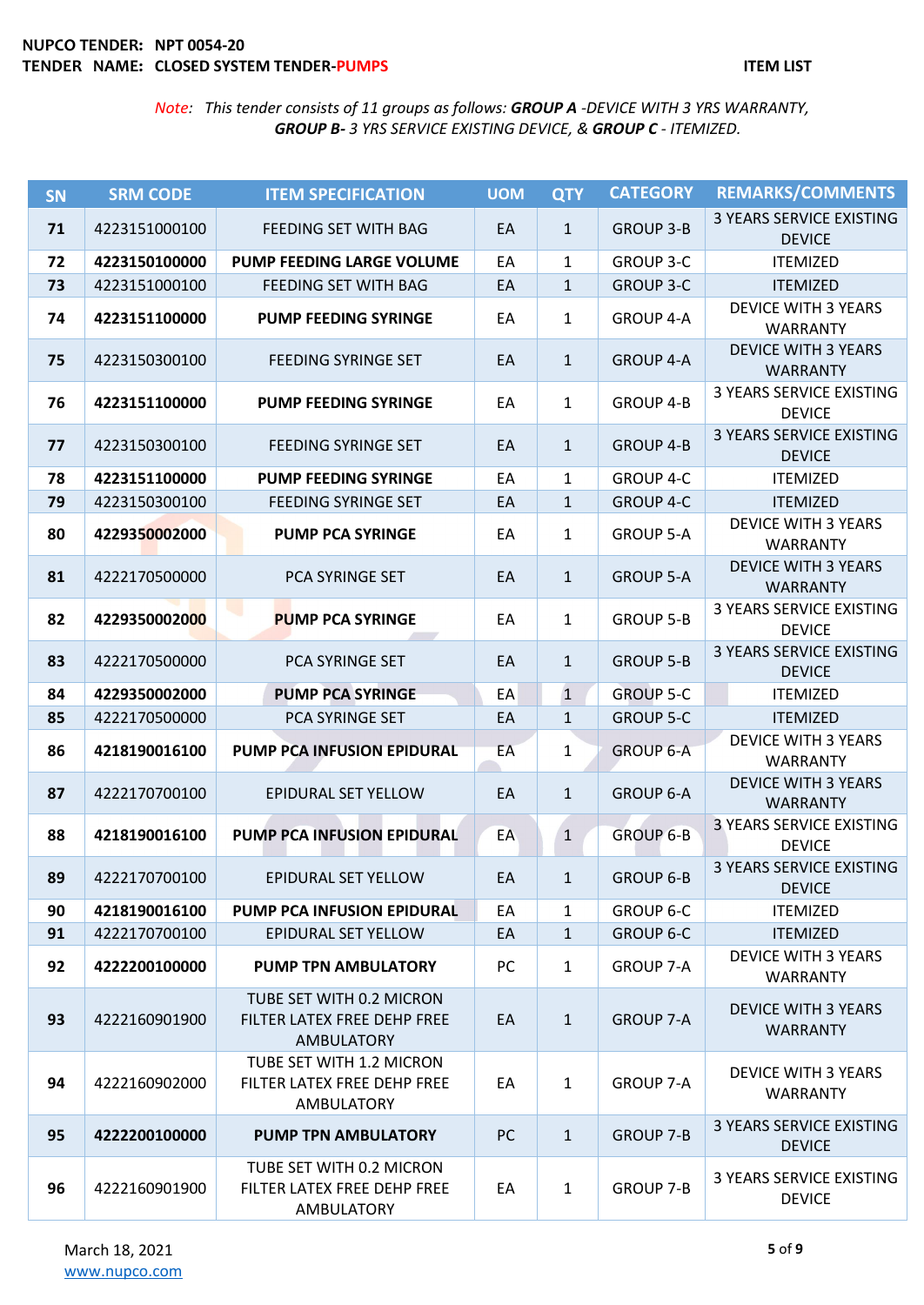| SN | <b>SRM CODE</b> | <b>ITEM SPECIFICATION</b>                                                    | <b>UOM</b> | <b>QTY</b>   | <b>CATEGORY</b>  | <b>REMARKS/COMMENTS</b>                          |
|----|-----------------|------------------------------------------------------------------------------|------------|--------------|------------------|--------------------------------------------------|
| 71 | 4223151000100   | FEEDING SET WITH BAG                                                         | EA         | $\mathbf{1}$ | <b>GROUP 3-B</b> | 3 YEARS SERVICE EXISTING<br><b>DEVICE</b>        |
| 72 | 4223150100000   | PUMP FEEDING LARGE VOLUME                                                    | EA         | $\mathbf{1}$ | <b>GROUP 3-C</b> | <b>ITEMIZED</b>                                  |
| 73 | 4223151000100   | FEEDING SET WITH BAG                                                         | EA         | $\mathbf{1}$ | <b>GROUP 3-C</b> | <b>ITEMIZED</b>                                  |
| 74 | 4223151100000   | <b>PUMP FEEDING SYRINGE</b>                                                  | EA         | $\mathbf{1}$ | <b>GROUP 4-A</b> | <b>DEVICE WITH 3 YEARS</b><br><b>WARRANTY</b>    |
| 75 | 4223150300100   | <b>FEEDING SYRINGE SET</b>                                                   | EA         | $\mathbf{1}$ | <b>GROUP 4-A</b> | <b>DEVICE WITH 3 YEARS</b><br><b>WARRANTY</b>    |
| 76 | 4223151100000   | <b>PUMP FEEDING SYRINGE</b>                                                  | EA         | $\mathbf{1}$ | <b>GROUP 4-B</b> | <b>3 YEARS SERVICE EXISTING</b><br><b>DEVICE</b> |
| 77 | 4223150300100   | <b>FEEDING SYRINGE SET</b>                                                   | EA         | $\mathbf{1}$ | <b>GROUP 4-B</b> | <b>3 YEARS SERVICE EXISTING</b><br><b>DEVICE</b> |
| 78 | 4223151100000   | <b>PUMP FEEDING SYRINGE</b>                                                  | EA         | $\mathbf{1}$ | GROUP 4-C        | <b>ITEMIZED</b>                                  |
| 79 | 4223150300100   | <b>FEEDING SYRINGE SET</b>                                                   | EA         | $\mathbf{1}$ | <b>GROUP 4-C</b> | <b>ITEMIZED</b>                                  |
| 80 | 4229350002000   | <b>PUMP PCA SYRINGE</b>                                                      | EA         | $\mathbf{1}$ | <b>GROUP 5-A</b> | <b>DEVICE WITH 3 YEARS</b><br><b>WARRANTY</b>    |
| 81 | 4222170500000   | PCA SYRINGE SET                                                              | EA         | $\mathbf{1}$ | <b>GROUP 5-A</b> | <b>DEVICE WITH 3 YEARS</b><br><b>WARRANTY</b>    |
| 82 | 4229350002000   | <b>PUMP PCA SYRINGE</b>                                                      | EA         | $\mathbf{1}$ | <b>GROUP 5-B</b> | 3 YEARS SERVICE EXISTING<br><b>DEVICE</b>        |
| 83 | 4222170500000   | PCA SYRINGE SET                                                              | EA         | $\mathbf{1}$ | <b>GROUP 5-B</b> | <b>3 YEARS SERVICE EXISTING</b><br><b>DEVICE</b> |
| 84 | 4229350002000   | <b>PUMP PCA SYRINGE</b>                                                      | EA         | $\mathbf 1$  | <b>GROUP 5-C</b> | <b>ITEMIZED</b>                                  |
| 85 | 4222170500000   | PCA SYRINGE SET                                                              | EA         | $\mathbf{1}$ | <b>GROUP 5-C</b> | <b>ITEMIZED</b>                                  |
| 86 | 4218190016100   | PUMP PCA INFUSION EPIDURAL                                                   | EA         | 1            | <b>GROUP 6-A</b> | <b>DEVICE WITH 3 YEARS</b><br><b>WARRANTY</b>    |
| 87 | 4222170700100   | EPIDURAL SET YELLOW                                                          | EA         | $\mathbf{1}$ | <b>GROUP 6-A</b> | <b>DEVICE WITH 3 YEARS</b><br><b>WARRANTY</b>    |
| 88 | 4218190016100   | PUMP PCA INFUSION EPIDURAL                                                   | EA         | $\mathbf{1}$ | <b>GROUP 6-B</b> | <b>3 YEARS SERVICE EXISTING</b><br><b>DEVICE</b> |
| 89 | 4222170700100   | EPIDURAL SET YELLOW                                                          | EA         | $\mathbf{1}$ | <b>GROUP 6-B</b> | <b>3 YEARS SERVICE EXISTING</b><br><b>DEVICE</b> |
| 90 | 4218190016100   | PUMP PCA INFUSION EPIDURAL                                                   | EA         | $\mathbf{1}$ | <b>GROUP 6-C</b> | <b>ITEMIZED</b>                                  |
| 91 | 4222170700100   | EPIDURAL SET YELLOW                                                          | EA         | $\mathbf{1}$ | <b>GROUP 6-C</b> | <b>ITEMIZED</b>                                  |
| 92 | 4222200100000   | <b>PUMP TPN AMBULATORY</b>                                                   | PC         | $\mathbf{1}$ | <b>GROUP 7-A</b> | <b>DEVICE WITH 3 YEARS</b><br><b>WARRANTY</b>    |
| 93 | 4222160901900   | TUBE SET WITH 0.2 MICRON<br>FILTER LATEX FREE DEHP FREE<br><b>AMBULATORY</b> | EA         | $\mathbf{1}$ | <b>GROUP 7-A</b> | <b>DEVICE WITH 3 YEARS</b><br><b>WARRANTY</b>    |
| 94 | 4222160902000   | TUBE SET WITH 1.2 MICRON<br>FILTER LATEX FREE DEHP FREE<br>AMBULATORY        | EA         | $\mathbf{1}$ | <b>GROUP 7-A</b> | <b>DEVICE WITH 3 YEARS</b><br><b>WARRANTY</b>    |
| 95 | 4222200100000   | PUMP TPN AMBULATORY                                                          | <b>PC</b>  | $\mathbf{1}$ | <b>GROUP 7-B</b> | 3 YEARS SERVICE EXISTING<br><b>DEVICE</b>        |
| 96 | 4222160901900   | TUBE SET WITH 0.2 MICRON<br>FILTER LATEX FREE DEHP FREE<br>AMBULATORY        | EA         | $\mathbf{1}$ | <b>GROUP 7-B</b> | 3 YEARS SERVICE EXISTING<br><b>DEVICE</b>        |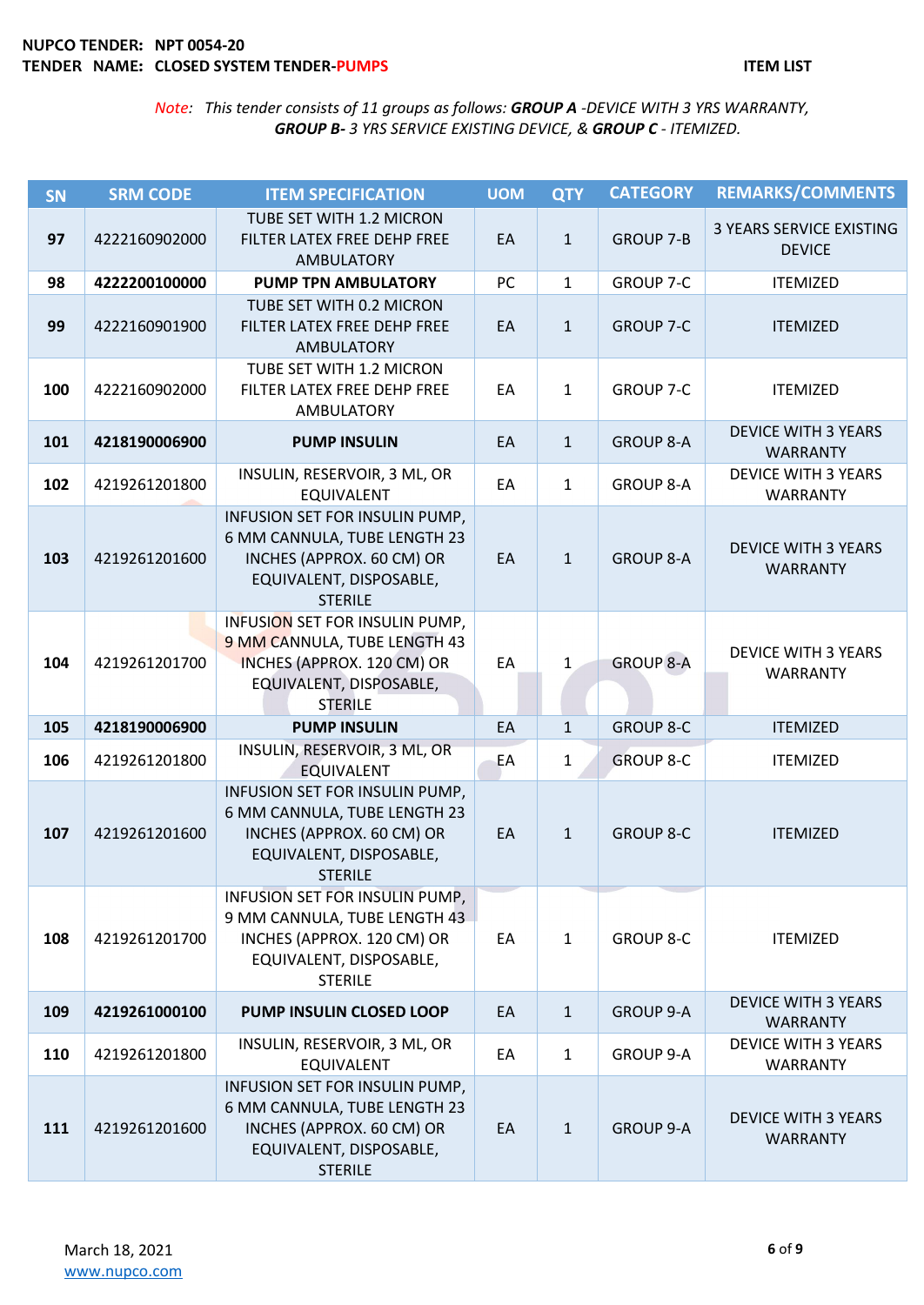| SN  | <b>SRM CODE</b> | <b>ITEM SPECIFICATION</b>                                                                                                                 | <b>UOM</b> | <b>QTY</b>   | <b>CATEGORY</b>  | <b>REMARKS/COMMENTS</b>                       |
|-----|-----------------|-------------------------------------------------------------------------------------------------------------------------------------------|------------|--------------|------------------|-----------------------------------------------|
| 97  | 4222160902000   | TUBE SET WITH 1.2 MICRON<br>FILTER LATEX FREE DEHP FREE<br><b>AMBULATORY</b>                                                              | EA         | $\mathbf{1}$ | <b>GROUP 7-B</b> | 3 YEARS SERVICE EXISTING<br><b>DEVICE</b>     |
| 98  | 4222200100000   | <b>PUMP TPN AMBULATORY</b>                                                                                                                | PC         | $\mathbf{1}$ | <b>GROUP 7-C</b> | <b>ITEMIZED</b>                               |
| 99  | 4222160901900   | TUBE SET WITH 0.2 MICRON<br>FILTER LATEX FREE DEHP FREE<br><b>AMBULATORY</b>                                                              | EA         | $\mathbf{1}$ | <b>GROUP 7-C</b> | <b>ITEMIZED</b>                               |
| 100 | 4222160902000   | TUBE SET WITH 1.2 MICRON<br>FILTER LATEX FREE DEHP FREE<br><b>AMBULATORY</b>                                                              | EA         | $\mathbf{1}$ | <b>GROUP 7-C</b> | <b>ITEMIZED</b>                               |
| 101 | 4218190006900   | <b>PUMP INSULIN</b>                                                                                                                       | EA         | $\mathbf{1}$ | <b>GROUP 8-A</b> | <b>DEVICE WITH 3 YEARS</b><br><b>WARRANTY</b> |
| 102 | 4219261201800   | INSULIN, RESERVOIR, 3 ML, OR<br><b>EQUIVALENT</b>                                                                                         | EA         | $\mathbf{1}$ | <b>GROUP 8-A</b> | <b>DEVICE WITH 3 YEARS</b><br><b>WARRANTY</b> |
| 103 | 4219261201600   | INFUSION SET FOR INSULIN PUMP,<br>6 MM CANNULA, TUBE LENGTH 23<br>INCHES (APPROX. 60 CM) OR<br>EQUIVALENT, DISPOSABLE,<br><b>STERILE</b>  | EA         | $\mathbf{1}$ | <b>GROUP 8-A</b> | <b>DEVICE WITH 3 YEARS</b><br><b>WARRANTY</b> |
| 104 | 4219261201700   | INFUSION SET FOR INSULIN PUMP,<br>9 MM CANNULA, TUBE LENGTH 43<br>INCHES (APPROX. 120 CM) OR<br>EQUIVALENT, DISPOSABLE,<br><b>STERILE</b> | EA         | $\mathbf{1}$ | <b>GROUP 8-A</b> | <b>DEVICE WITH 3 YEARS</b><br><b>WARRANTY</b> |
| 105 | 4218190006900   | <b>PUMP INSULIN</b>                                                                                                                       | EA         | $\mathbf{1}$ | <b>GROUP 8-C</b> | <b>ITEMIZED</b>                               |
| 106 | 4219261201800   | INSULIN, RESERVOIR, 3 ML, OR<br><b>EQUIVALENT</b>                                                                                         | EA         | $\mathbf{1}$ | <b>GROUP 8-C</b> | <b>ITEMIZED</b>                               |
| 107 | 4219261201600   | INFUSION SET FOR INSULIN PUMP,<br>6 MM CANNULA, TUBE LENGTH 23<br>INCHES (APPROX. 60 CM) OR<br>EQUIVALENT, DISPOSABLE,<br>STERILE         | EA         | $\mathbf{1}$ | <b>GROUP 8-C</b> | <b>ITEMIZED</b>                               |
| 108 | 4219261201700   | INFUSION SET FOR INSULIN PUMP,<br>9 MM CANNULA, TUBE LENGTH 43<br>INCHES (APPROX. 120 CM) OR<br>EQUIVALENT, DISPOSABLE,<br><b>STERILE</b> | EA         | $\mathbf{1}$ | <b>GROUP 8-C</b> | <b>ITEMIZED</b>                               |
| 109 | 4219261000100   | <b>PUMP INSULIN CLOSED LOOP</b>                                                                                                           | EA         | $\mathbf{1}$ | <b>GROUP 9-A</b> | <b>DEVICE WITH 3 YEARS</b><br><b>WARRANTY</b> |
| 110 | 4219261201800   | INSULIN, RESERVOIR, 3 ML, OR<br><b>EQUIVALENT</b>                                                                                         | EA         | $\mathbf{1}$ | <b>GROUP 9-A</b> | <b>DEVICE WITH 3 YEARS</b><br><b>WARRANTY</b> |
| 111 | 4219261201600   | INFUSION SET FOR INSULIN PUMP,<br>6 MM CANNULA, TUBE LENGTH 23<br>INCHES (APPROX. 60 CM) OR<br>EQUIVALENT, DISPOSABLE,<br><b>STERILE</b>  | EA         | $\mathbf{1}$ | <b>GROUP 9-A</b> | <b>DEVICE WITH 3 YEARS</b><br><b>WARRANTY</b> |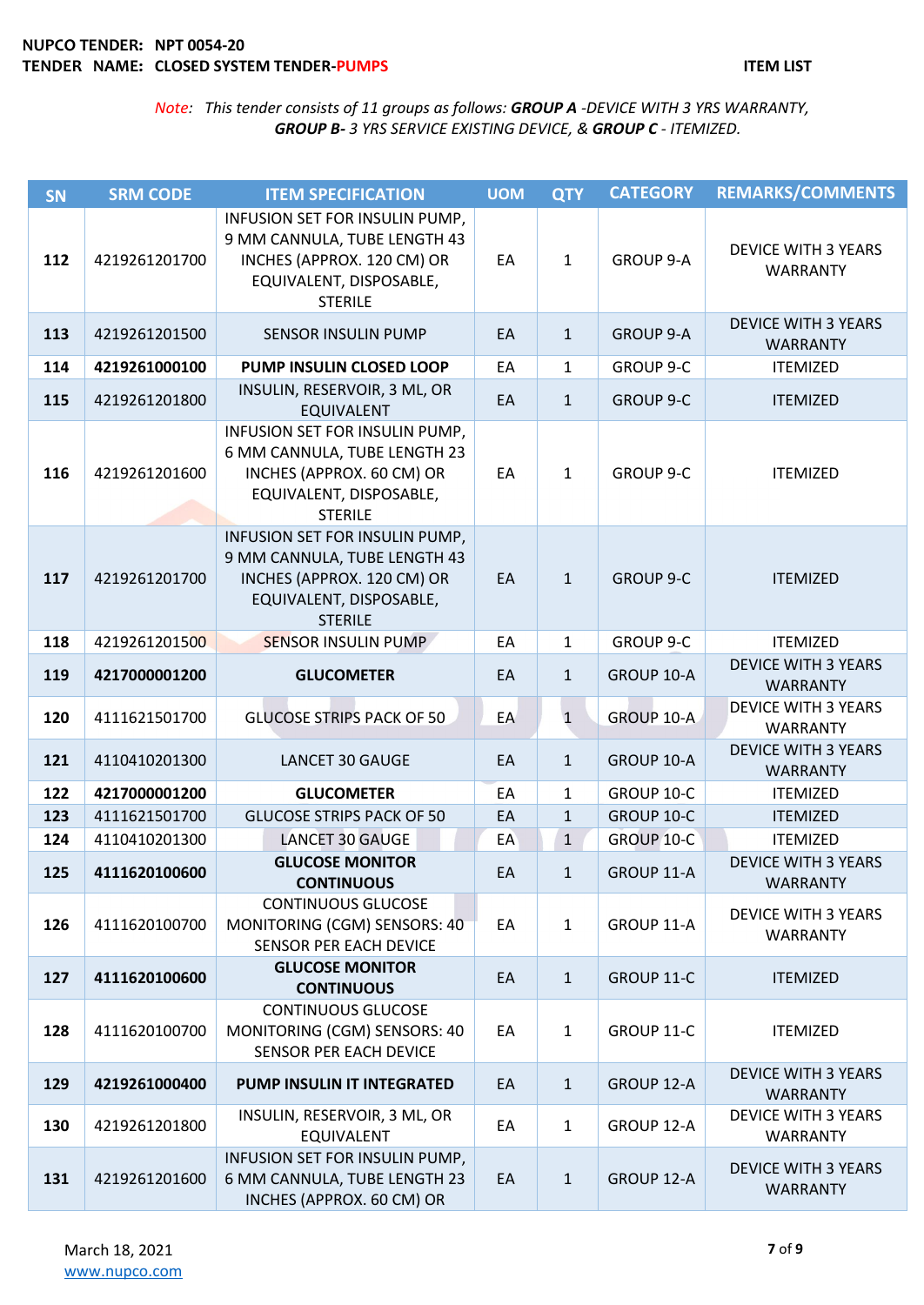| <b>SN</b> | <b>SRM CODE</b> | <b>ITEM SPECIFICATION</b>                                                                                                                 | <b>UOM</b> | <b>QTY</b>   | <b>CATEGORY</b>  | <b>REMARKS/COMMENTS</b>                       |
|-----------|-----------------|-------------------------------------------------------------------------------------------------------------------------------------------|------------|--------------|------------------|-----------------------------------------------|
| 112       | 4219261201700   | INFUSION SET FOR INSULIN PUMP,<br>9 MM CANNULA, TUBE LENGTH 43<br>INCHES (APPROX. 120 CM) OR<br>EQUIVALENT, DISPOSABLE,<br><b>STERILE</b> | EA         | $\mathbf{1}$ | <b>GROUP 9-A</b> | <b>DEVICE WITH 3 YEARS</b><br><b>WARRANTY</b> |
| 113       | 4219261201500   | <b>SENSOR INSULIN PUMP</b>                                                                                                                | EA         | $\mathbf{1}$ | <b>GROUP 9-A</b> | <b>DEVICE WITH 3 YEARS</b><br><b>WARRANTY</b> |
| 114       | 4219261000100   | PUMP INSULIN CLOSED LOOP                                                                                                                  | EA         | $\mathbf{1}$ | <b>GROUP 9-C</b> | <b>ITEMIZED</b>                               |
| 115       | 4219261201800   | INSULIN, RESERVOIR, 3 ML, OR<br><b>EQUIVALENT</b>                                                                                         | EA         | $\mathbf{1}$ | <b>GROUP 9-C</b> | <b>ITEMIZED</b>                               |
| 116       | 4219261201600   | INFUSION SET FOR INSULIN PUMP,<br>6 MM CANNULA, TUBE LENGTH 23<br>INCHES (APPROX. 60 CM) OR<br>EQUIVALENT, DISPOSABLE,<br><b>STERILE</b>  | EA         | $\mathbf{1}$ | <b>GROUP 9-C</b> | <b>ITEMIZED</b>                               |
| 117       | 4219261201700   | INFUSION SET FOR INSULIN PUMP,<br>9 MM CANNULA, TUBE LENGTH 43<br>INCHES (APPROX. 120 CM) OR<br>EQUIVALENT, DISPOSABLE,<br><b>STERILE</b> | EA         | $\mathbf{1}$ | <b>GROUP 9-C</b> | <b>ITEMIZED</b>                               |
| 118       | 4219261201500   | <b>SENSOR INSULIN PUMP</b>                                                                                                                | EA         | $\mathbf{1}$ | <b>GROUP 9-C</b> | <b>ITEMIZED</b>                               |
| 119       | 4217000001200   | <b>GLUCOMETER</b>                                                                                                                         | EA         | $\mathbf{1}$ | GROUP 10-A       | <b>DEVICE WITH 3 YEARS</b><br><b>WARRANTY</b> |
| 120       | 4111621501700   | <b>GLUCOSE STRIPS PACK OF 50</b>                                                                                                          | EA         | $\mathbf{1}$ | GROUP 10-A       | <b>DEVICE WITH 3 YEARS</b><br><b>WARRANTY</b> |
| 121       | 4110410201300   | LANCET 30 GAUGE                                                                                                                           | EA         | $\mathbf{1}$ | GROUP 10-A       | <b>DEVICE WITH 3 YEARS</b><br><b>WARRANTY</b> |
| 122       | 4217000001200   | <b>GLUCOMETER</b>                                                                                                                         | EA         | $\mathbf{1}$ | GROUP 10-C       | <b>ITEMIZED</b>                               |
| 123       | 4111621501700   | <b>GLUCOSE STRIPS PACK OF 50</b>                                                                                                          | EA         | $\mathbf{1}$ | GROUP 10-C       | <b>ITEMIZED</b>                               |
| 124       | 4110410201300   | <b>LANCET 30 GAUGE</b>                                                                                                                    | EA         | $\mathbf{1}$ | GROUP 10-C       | <b>ITEMIZED</b>                               |
| 125       | 4111620100600   | <b>GLUCOSE MONITOR</b><br><b>CONTINUOUS</b>                                                                                               | EA         | 1            | GROUP 11-A       | <b>DEVICE WITH 3 YEARS</b><br><b>WARRANTY</b> |
| 126       | 4111620100700   | <b>CONTINUOUS GLUCOSE</b><br>MONITORING (CGM) SENSORS: 40<br><b>SENSOR PER EACH DEVICE</b>                                                | EA         | $\mathbf{1}$ | GROUP 11-A       | <b>DEVICE WITH 3 YEARS</b><br><b>WARRANTY</b> |
| 127       | 4111620100600   | <b>GLUCOSE MONITOR</b><br><b>CONTINUOUS</b>                                                                                               | EA         | $\mathbf{1}$ | GROUP 11-C       | <b>ITEMIZED</b>                               |
| 128       | 4111620100700   | <b>CONTINUOUS GLUCOSE</b><br>MONITORING (CGM) SENSORS: 40<br>SENSOR PER EACH DEVICE                                                       | EA         | 1            | GROUP 11-C       | <b>ITEMIZED</b>                               |
| 129       | 4219261000400   | PUMP INSULIN IT INTEGRATED                                                                                                                | EA         | $\mathbf{1}$ | GROUP 12-A       | <b>DEVICE WITH 3 YEARS</b><br><b>WARRANTY</b> |
| 130       | 4219261201800   | INSULIN, RESERVOIR, 3 ML, OR<br><b>EQUIVALENT</b>                                                                                         | EA         | $\mathbf{1}$ | GROUP 12-A       | <b>DEVICE WITH 3 YEARS</b><br><b>WARRANTY</b> |
| 131       | 4219261201600   | INFUSION SET FOR INSULIN PUMP,<br>6 MM CANNULA, TUBE LENGTH 23<br>INCHES (APPROX. 60 CM) OR                                               | EA         | $\mathbf{1}$ | GROUP 12-A       | <b>DEVICE WITH 3 YEARS</b><br><b>WARRANTY</b> |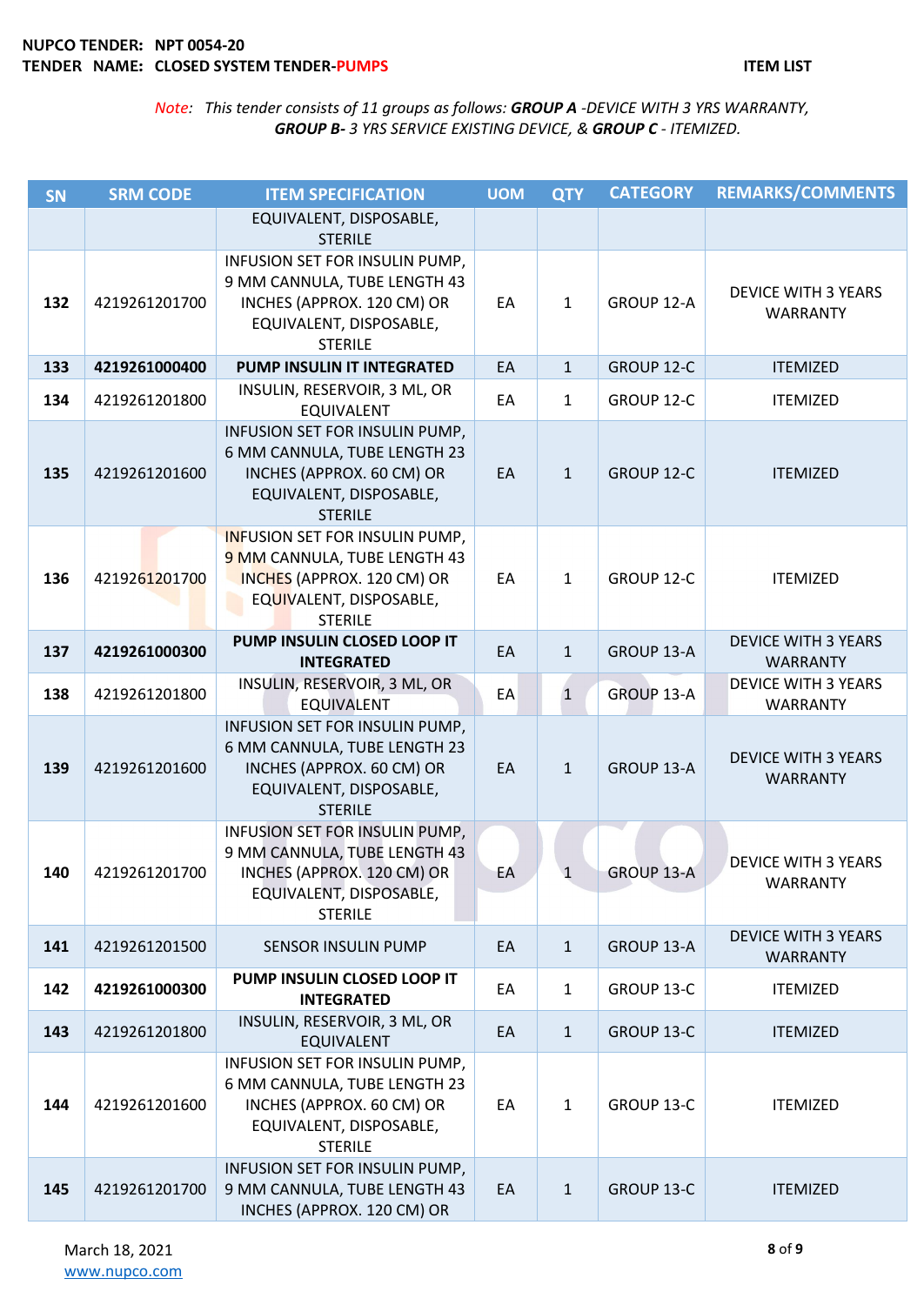| <b>SN</b> | <b>SRM CODE</b> | <b>ITEM SPECIFICATION</b>                                                                                                                        | <b>UOM</b> | <b>QTY</b>   | <b>CATEGORY</b>   | <b>REMARKS/COMMENTS</b>                       |
|-----------|-----------------|--------------------------------------------------------------------------------------------------------------------------------------------------|------------|--------------|-------------------|-----------------------------------------------|
|           |                 | EQUIVALENT, DISPOSABLE,<br><b>STERILE</b>                                                                                                        |            |              |                   |                                               |
| 132       | 4219261201700   | INFUSION SET FOR INSULIN PUMP,<br>9 MM CANNULA, TUBE LENGTH 43<br>INCHES (APPROX. 120 CM) OR<br>EQUIVALENT, DISPOSABLE,<br><b>STERILE</b>        | EA         | $\mathbf{1}$ | GROUP 12-A        | <b>DEVICE WITH 3 YEARS</b><br><b>WARRANTY</b> |
| 133       | 4219261000400   | PUMP INSULIN IT INTEGRATED                                                                                                                       | EA         | $\mathbf{1}$ | GROUP 12-C        | <b>ITEMIZED</b>                               |
| 134       | 4219261201800   | INSULIN, RESERVOIR, 3 ML, OR<br><b>EQUIVALENT</b>                                                                                                | EA         | $\mathbf{1}$ | GROUP 12-C        | <b>ITEMIZED</b>                               |
| 135       | 4219261201600   | INFUSION SET FOR INSULIN PUMP,<br>6 MM CANNULA, TUBE LENGTH 23<br>INCHES (APPROX. 60 CM) OR<br>EQUIVALENT, DISPOSABLE,<br><b>STERILE</b>         | EA         | $\mathbf{1}$ | GROUP 12-C        | <b>ITEMIZED</b>                               |
| 136       | 4219261201700   | <b>INFUSION SET FOR INSULIN PUMP,</b><br>9 MM CANNULA, TUBE LENGTH 43<br>INCHES (APPROX. 120 CM) OR<br>EQUIVALENT, DISPOSABLE,<br><b>STERILE</b> | EA         | $\mathbf{1}$ | GROUP 12-C        | <b>ITEMIZED</b>                               |
| 137       | 4219261000300   | PUMP INSULIN CLOSED LOOP IT<br><b>INTEGRATED</b>                                                                                                 | EA         | $\mathbf{1}$ | GROUP 13-A        | <b>DEVICE WITH 3 YEARS</b><br><b>WARRANTY</b> |
| 138       | 4219261201800   | INSULIN, RESERVOIR, 3 ML, OR<br><b>EQUIVALENT</b>                                                                                                | EA         | $\mathbf{1}$ | <b>GROUP 13-A</b> | <b>DEVICE WITH 3 YEARS</b><br><b>WARRANTY</b> |
| 139       | 4219261201600   | INFUSION SET FOR INSULIN PUMP,<br>6 MM CANNULA, TUBE LENGTH 23<br>INCHES (APPROX. 60 CM) OR<br>EQUIVALENT, DISPOSABLE,<br><b>STERILE</b>         | EA         | $\mathbf{1}$ | GROUP 13-A        | <b>DEVICE WITH 3 YEARS</b><br><b>WARRANTY</b> |
| 140       | 4219261201700   | INFUSION SET FOR INSULIN PUMP,<br>9 MM CANNULA, TUBE LENGTH 43<br>INCHES (APPROX. 120 CM) OR<br>EQUIVALENT, DISPOSABLE,<br><b>STERILE</b>        | EA         | $\mathbf{1}$ | GROUP 13-A        | <b>DEVICE WITH 3 YEARS</b><br><b>WARRANTY</b> |
| 141       | 4219261201500   | <b>SENSOR INSULIN PUMP</b>                                                                                                                       | EA         | $\mathbf{1}$ | GROUP 13-A        | <b>DEVICE WITH 3 YEARS</b><br><b>WARRANTY</b> |
| 142       | 4219261000300   | PUMP INSULIN CLOSED LOOP IT<br><b>INTEGRATED</b>                                                                                                 | EA         | $\mathbf{1}$ | GROUP 13-C        | <b>ITEMIZED</b>                               |
| 143       | 4219261201800   | INSULIN, RESERVOIR, 3 ML, OR<br><b>EQUIVALENT</b>                                                                                                | EA         | $\mathbf{1}$ | GROUP 13-C        | <b>ITEMIZED</b>                               |
| 144       | 4219261201600   | INFUSION SET FOR INSULIN PUMP,<br>6 MM CANNULA, TUBE LENGTH 23<br>INCHES (APPROX. 60 CM) OR<br>EQUIVALENT, DISPOSABLE,<br><b>STERILE</b>         | EA         | $\mathbf{1}$ | GROUP 13-C        | <b>ITEMIZED</b>                               |
| 145       | 4219261201700   | INFUSION SET FOR INSULIN PUMP,<br>9 MM CANNULA, TUBE LENGTH 43<br>INCHES (APPROX. 120 CM) OR                                                     | EA         | $\mathbf{1}$ | GROUP 13-C        | <b>ITEMIZED</b>                               |